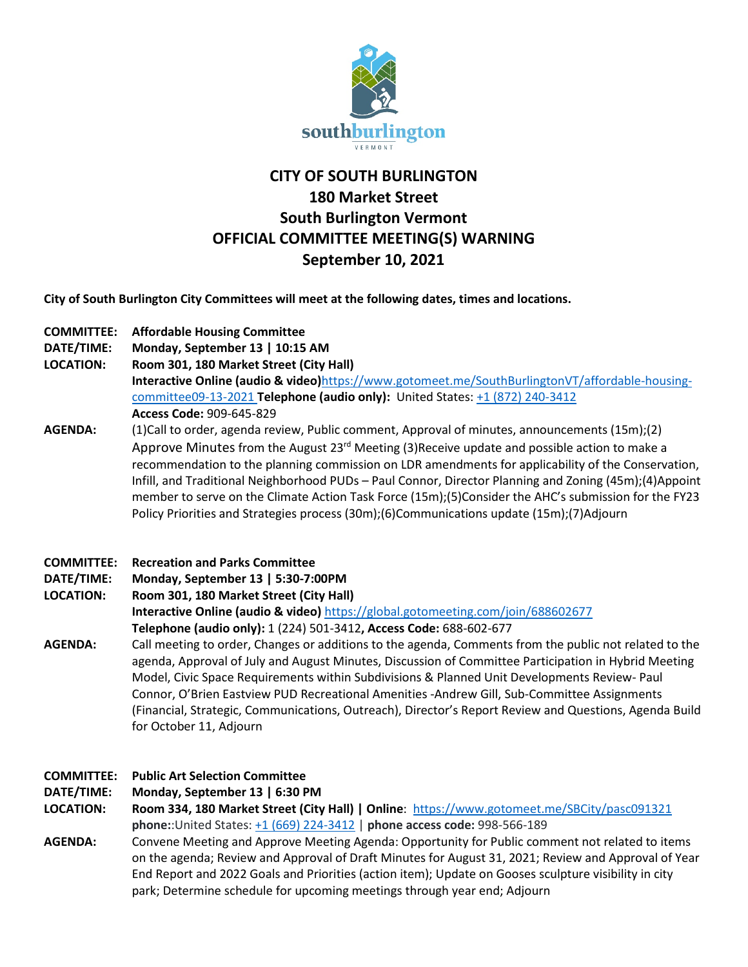

# **CITY OF SOUTH BURLINGTON 180 Market Street South Burlington Vermont OFFICIAL COMMITTEE MEETING(S) WARNING September 10, 2021**

**City of South Burlington City Committees will meet at the following dates, times and locations.** 

- **COMMITTEE: Affordable Housing Committee**
- **DATE/TIME: Monday, September 13 | 10:15 AM**
- **LOCATION: Room 301, 180 Market Street (City Hall)**

**Interactive Online (audio & video)**[https://www.gotomeet.me/SouthBurlingtonVT/affordable-housing](https://www.gotomeet.me/SouthBurlingtonVT/affordable-housing-committee09-13-2021)[committee09-13-2021](https://www.gotomeet.me/SouthBurlingtonVT/affordable-housing-committee09-13-2021) **Telephone (audio only):** United States: [+1 \(872\) 240-3412](tel:+18722403412,,909645829) **Access Code:** 909-645-829

- **AGENDA:** (1)Call to order, agenda review, Public comment, Approval of minutes, announcements (15m);(2) Approve Minutes from the August  $23^{rd}$  Meeting (3) Receive update and possible action to make a recommendation to the planning commission on LDR amendments for applicability of the Conservation, Infill, and Traditional Neighborhood PUDs – Paul Connor, Director Planning and Zoning (45m);(4)Appoint member to serve on the Climate Action Task Force (15m);(5)Consider the AHC's submission for the FY23 Policy Priorities and Strategies process (30m);(6)Communications update (15m);(7)Adjourn
- **COMMITTEE: Recreation and Parks Committee**
- **DATE/TIME: Monday, September 13 | 5:30-7:00PM**

**LOCATION: Room 301, 180 Market Street (City Hall) Interactive Online (audio & video)** <https://global.gotomeeting.com/join/688602677> **Telephone (audio only):** 1 (224) 501-3412**, Access Code:** 688-602-677

**AGENDA:** Call meeting to order, Changes or additions to the agenda, Comments from the public not related to the agenda, Approval of July and August Minutes, Discussion of Committee Participation in Hybrid Meeting Model, Civic Space Requirements within Subdivisions & Planned Unit Developments Review- Paul Connor, O'Brien Eastview PUD Recreational Amenities -Andrew Gill, Sub-Committee Assignments (Financial, Strategic, Communications, Outreach), Director's Report Review and Questions, Agenda Build for October 11, Adjourn

# **COMMITTEE: Public Art Selection Committee**

**DATE/TIME: Monday, September 13 | 6:30 PM**

**LOCATION: Room 334, 180 Market Street (City Hall) | Online**:<https://www.gotomeet.me/SBCity/pasc091321> **phone:**:United States: [+1 \(669\) 224-3412](tel:+16692243412,,998566189) | **phone access code:** 998-566-189

**AGENDA:** Convene Meeting and Approve Meeting Agenda: Opportunity for Public comment not related to items on the agenda; Review and Approval of Draft Minutes for August 31, 2021; Review and Approval of Year End Report and 2022 Goals and Priorities (action item); Update on Gooses sculpture visibility in city park; Determine schedule for upcoming meetings through year end; Adjourn